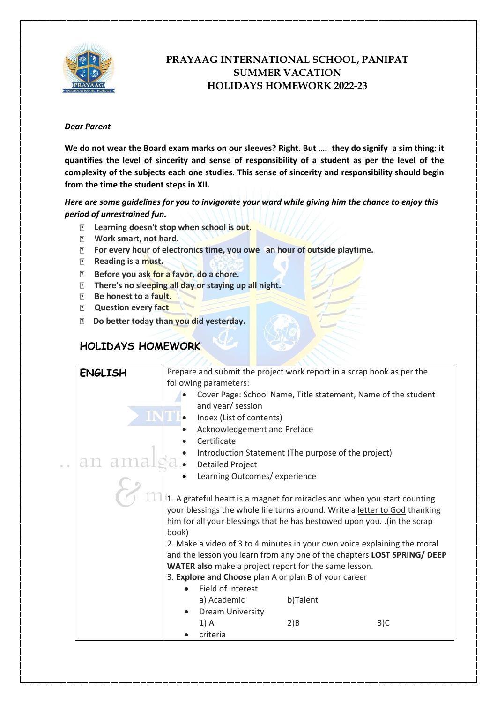

## **PRAYAAG INTERNATIONAL SCHOOL, PANIPAT SUMMER VACATION HOLIDAYS HOMEWORK 2022-23**

## *Dear Parent*

**We do not wear the Board exam marks on our sleeves? Right. But …. they do signify a sim thing: it quantifies the level of sincerity and sense of responsibility of a student as per the level of the complexity of the subjects each one studies. This sense of sincerity and responsibility should begin from the time the student steps in XII.**

*Here are some guidelines for you to invigorate your ward while giving him the chance to enjoy this period of unrestrained fun.*

- **Learning doesn't stop when school is out.**
- **Work smart, not hard.**
- **For every hour of electronics time, you owe an hour of outside playtime.**
- **Reading is a must.**
- **Before you ask for a favor, do a chore.**
- **There's no sleeping all day or staying up all night.**
- **Be honest to a fault.**
- **Question every fact**
- **Do better today than you did yesterday.**

## **HOLIDAYS HOMEWORK**

| <b>ENGLISH</b>                                                           | Prepare and submit the project work report in a scrap book as per the<br>following parameters:                                                                |                                                               |          |     |  |
|--------------------------------------------------------------------------|---------------------------------------------------------------------------------------------------------------------------------------------------------------|---------------------------------------------------------------|----------|-----|--|
|                                                                          |                                                                                                                                                               | Cover Page: School Name, Title statement, Name of the student |          |     |  |
|                                                                          |                                                                                                                                                               | and year/ session                                             |          |     |  |
|                                                                          |                                                                                                                                                               | Index (List of contents)                                      |          |     |  |
|                                                                          |                                                                                                                                                               | Acknowledgement and Preface                                   |          |     |  |
|                                                                          |                                                                                                                                                               | Certificate                                                   |          |     |  |
|                                                                          |                                                                                                                                                               | Introduction Statement (The purpose of the project)           |          |     |  |
|                                                                          |                                                                                                                                                               | <b>Detailed Project</b>                                       |          |     |  |
| Learning Outcomes/ experience                                            |                                                                                                                                                               |                                                               |          |     |  |
| 1. A grateful heart is a magnet for miracles and when you start counting |                                                                                                                                                               |                                                               |          |     |  |
|                                                                          | your blessings the whole life turns around. Write a letter to God thanking                                                                                    |                                                               |          |     |  |
|                                                                          | him for all your blessings that he has bestowed upon you. .(in the scrap<br>book)<br>2. Make a video of 3 to 4 minutes in your own voice explaining the moral |                                                               |          |     |  |
|                                                                          |                                                                                                                                                               |                                                               |          |     |  |
|                                                                          |                                                                                                                                                               |                                                               |          |     |  |
|                                                                          | and the lesson you learn from any one of the chapters LOST SPRING/ DEEP                                                                                       |                                                               |          |     |  |
|                                                                          | WATER also make a project report for the same lesson.                                                                                                         |                                                               |          |     |  |
|                                                                          |                                                                                                                                                               | 3. Explore and Choose plan A or plan B of your career         |          |     |  |
|                                                                          |                                                                                                                                                               | Field of interest                                             |          |     |  |
|                                                                          |                                                                                                                                                               | a) Academic                                                   | b)Talent |     |  |
|                                                                          |                                                                                                                                                               | <b>Dream University</b>                                       |          |     |  |
|                                                                          |                                                                                                                                                               | 1) A                                                          | 2)B      | 3)C |  |
|                                                                          |                                                                                                                                                               | criteria                                                      |          |     |  |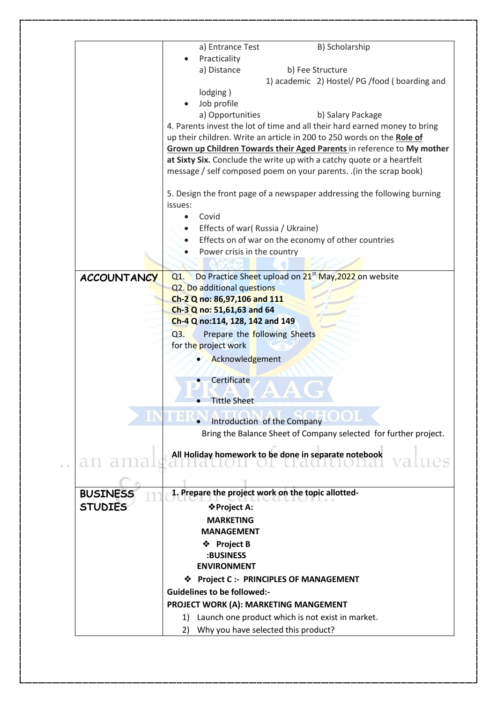|                                                               | B) Scholarship<br>a) Entrance Test                                                                                                               |  |  |  |
|---------------------------------------------------------------|--------------------------------------------------------------------------------------------------------------------------------------------------|--|--|--|
|                                                               | Practicality                                                                                                                                     |  |  |  |
|                                                               | a) Distance<br>b) Fee Structure                                                                                                                  |  |  |  |
|                                                               | 1) academic 2) Hostel/ PG /food (boarding and                                                                                                    |  |  |  |
|                                                               | lodging)                                                                                                                                         |  |  |  |
|                                                               | Job profile                                                                                                                                      |  |  |  |
|                                                               | a) Opportunities<br>b) Salary Package                                                                                                            |  |  |  |
|                                                               | 4. Parents invest the lot of time and all their hard earned money to bring                                                                       |  |  |  |
|                                                               | up their children. Write an article in 200 to 250 words on the Role of                                                                           |  |  |  |
|                                                               | Grown up Children Towards their Aged Parents in reference to My mother<br>at Sixty Six. Conclude the write up with a catchy quote or a heartfelt |  |  |  |
|                                                               |                                                                                                                                                  |  |  |  |
|                                                               | message / self composed poem on your parents. . (in the scrap book)                                                                              |  |  |  |
|                                                               | 5. Design the front page of a newspaper addressing the following burning                                                                         |  |  |  |
|                                                               | issues:                                                                                                                                          |  |  |  |
|                                                               | Covid<br>$\bullet$                                                                                                                               |  |  |  |
|                                                               | Effects of war(Russia / Ukraine)                                                                                                                 |  |  |  |
|                                                               | Effects on of war on the economy of other countries                                                                                              |  |  |  |
|                                                               | Power crisis in the country                                                                                                                      |  |  |  |
|                                                               |                                                                                                                                                  |  |  |  |
| <b>ACCOUNTANCY</b>                                            | Do Practice Sheet upload on 21 <sup>st</sup> May, 2022 on website<br>Q1.                                                                         |  |  |  |
|                                                               | Q2. Do additional questions                                                                                                                      |  |  |  |
|                                                               | Ch-2 Q no: 86,97,106 and 111                                                                                                                     |  |  |  |
|                                                               | Ch-3 Q no: 51,61,63 and 64                                                                                                                       |  |  |  |
|                                                               | Ch-4 Q no:114, 128, 142 and 149                                                                                                                  |  |  |  |
|                                                               | Q3.<br>Prepare the following Sheets                                                                                                              |  |  |  |
|                                                               | for the project work                                                                                                                             |  |  |  |
|                                                               |                                                                                                                                                  |  |  |  |
|                                                               | Acknowledgement                                                                                                                                  |  |  |  |
|                                                               | Certificate                                                                                                                                      |  |  |  |
|                                                               |                                                                                                                                                  |  |  |  |
|                                                               | <b>Tittle Sheet</b>                                                                                                                              |  |  |  |
|                                                               |                                                                                                                                                  |  |  |  |
| Introduction of the Company                                   |                                                                                                                                                  |  |  |  |
|                                                               | Bring the Balance Sheet of Company selected for further project.                                                                                 |  |  |  |
| All Holiday homework to be done in separate notebook<br>an ar |                                                                                                                                                  |  |  |  |
|                                                               |                                                                                                                                                  |  |  |  |
| <b>BUSINESS</b>                                               | 1. Prepare the project work on the topic allotted-                                                                                               |  |  |  |
| <b>STUDIES</b>                                                | ❖ Project A:                                                                                                                                     |  |  |  |
|                                                               | <b>MARKETING</b>                                                                                                                                 |  |  |  |
|                                                               | <b>MANAGEMENT</b>                                                                                                                                |  |  |  |
|                                                               | ❖ Project B                                                                                                                                      |  |  |  |
|                                                               | :BUSINESS                                                                                                                                        |  |  |  |
|                                                               | <b>ENVIRONMENT</b>                                                                                                                               |  |  |  |
|                                                               | ❖ Project C :- PRINCIPLES OF MANAGEMENT                                                                                                          |  |  |  |
|                                                               | <b>Guidelines to be followed:-</b>                                                                                                               |  |  |  |
|                                                               |                                                                                                                                                  |  |  |  |
|                                                               | PROJECT WORK (A): MARKETING MANGEMENT                                                                                                            |  |  |  |
|                                                               | 1) Launch one product which is not exist in market.                                                                                              |  |  |  |
|                                                               | Why you have selected this product?<br>2)                                                                                                        |  |  |  |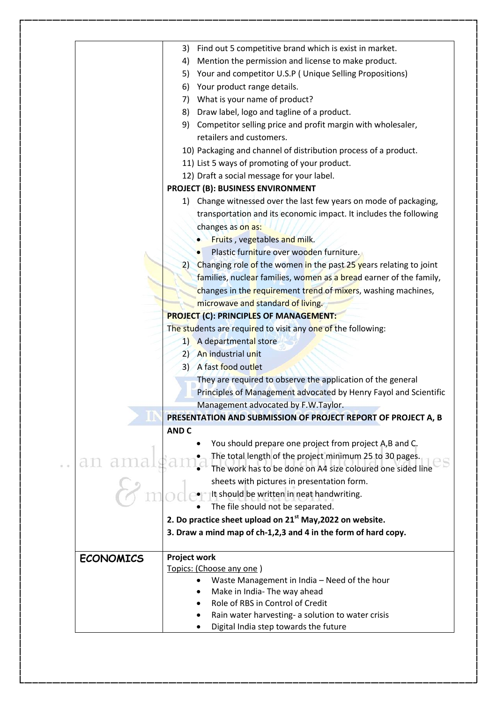| Find out 5 competitive brand which is exist in market.<br>3)             |
|--------------------------------------------------------------------------|
| Mention the permission and license to make product.<br>4)                |
| Your and competitor U.S.P (Unique Selling Propositions)<br>5)            |
| 6) Your product range details.                                           |
| 7) What is your name of product?                                         |
| Draw label, logo and tagline of a product.<br>8)                         |
| Competitor selling price and profit margin with wholesaler,<br>9)        |
| retailers and customers.                                                 |
| 10) Packaging and channel of distribution process of a product.          |
| 11) List 5 ways of promoting of your product.                            |
| 12) Draft a social message for your label.                               |
| <b>PROJECT (B): BUSINESS ENVIRONMENT</b>                                 |
| 1) Change witnessed over the last few years on mode of packaging,        |
| transportation and its economic impact. It includes the following        |
| changes as on as:                                                        |
| Fruits, vegetables and milk.                                             |
| Plastic furniture over wooden furniture.                                 |
| Changing role of the women in the past 25 years relating to joint<br>(2) |
| families, nuclear families, women as a bread earner of the family,       |
| changes in the requirement trend of mixers, washing machines,            |
| microwave and standard of living.                                        |
| <b>PROJECT (C): PRINCIPLES OF MANAGEMENT:</b>                            |
| The students are required to visit any one of the following:             |
| 1) A departmental store                                                  |
| 2) An industrial unit                                                    |
| 3) A fast food outlet                                                    |
| They are required to observe the application of the general              |
| Principles of Management advocated by Henry Fayol and Scientific         |
| Management advocated by F.W.Taylor.                                      |
| PRESENTATION AND SUBMISSION OF PROJECT REPORT OF PROJECT A, B            |
| <b>AND C</b>                                                             |
| You should prepare one project from project A,B and C.                   |
| The total length of the project minimum 25 to 30 pages.                  |
| The work has to be done on A4 size coloured one sided line               |
| sheets with pictures in presentation form.                               |
| It should be written in neat handwriting.                                |
| The file should not be separated.                                        |
| 2. Do practice sheet upload on $21st$ May, 2022 on website.              |
| 3. Draw a mind map of ch-1,2,3 and 4 in the form of hard copy.           |
| <b>Project work</b>                                                      |
| Topics: (Choose any one)                                                 |
| Waste Management in India - Need of the hour<br>$\bullet$                |
| Make in India- The way ahead                                             |
| Role of RBS in Control of Credit                                         |
| Rain water harvesting- a solution to water crisis                        |
| Digital India step towards the future                                    |
|                                                                          |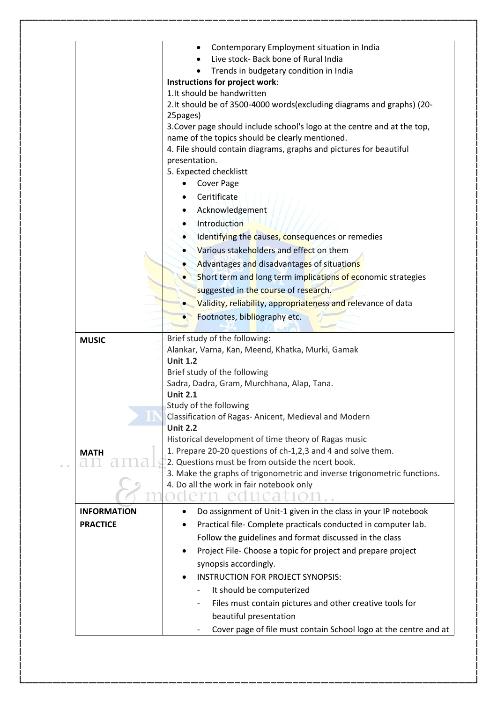|                    | Contemporary Employment situation in India                                                                                  |  |
|--------------------|-----------------------------------------------------------------------------------------------------------------------------|--|
|                    | Live stock- Back bone of Rural India                                                                                        |  |
|                    | Trends in budgetary condition in India                                                                                      |  |
|                    | Instructions for project work:                                                                                              |  |
|                    | 1. It should be handwritten                                                                                                 |  |
|                    | 2.It should be of 3500-4000 words (excluding diagrams and graphs) (20-                                                      |  |
|                    | 25pages)                                                                                                                    |  |
|                    | 3. Cover page should include school's logo at the centre and at the top,<br>name of the topics should be clearly mentioned. |  |
|                    | 4. File should contain diagrams, graphs and pictures for beautiful                                                          |  |
|                    | presentation.                                                                                                               |  |
|                    | 5. Expected checklistt                                                                                                      |  |
|                    | Cover Page                                                                                                                  |  |
|                    | Ceritificate                                                                                                                |  |
|                    | Acknowledgement                                                                                                             |  |
|                    | Introduction                                                                                                                |  |
|                    | Identifying the causes, consequences or remedies                                                                            |  |
|                    |                                                                                                                             |  |
|                    | Various stakeholders and effect on them                                                                                     |  |
|                    | Advantages and disadvantages of situations                                                                                  |  |
|                    | Short term and long term implications of economic strategies                                                                |  |
|                    | suggested in the course of research.                                                                                        |  |
|                    | Validity, reliability, appropriateness and relevance of data                                                                |  |
|                    | Footnotes, bibliography etc.                                                                                                |  |
|                    |                                                                                                                             |  |
| <b>MUSIC</b>       | Brief study of the following:                                                                                               |  |
|                    | Alankar, Varna, Kan, Meend, Khatka, Murki, Gamak                                                                            |  |
|                    | <b>Unit 1.2</b>                                                                                                             |  |
|                    | Brief study of the following                                                                                                |  |
|                    | Sadra, Dadra, Gram, Murchhana, Alap, Tana.                                                                                  |  |
|                    | <b>Unit 2.1</b>                                                                                                             |  |
|                    | Study of the following                                                                                                      |  |
|                    | Classification of Ragas-Anicent, Medieval and Modern<br><b>Unit 2.2</b>                                                     |  |
|                    | Historical development of time theory of Ragas music                                                                        |  |
| <b>MATH</b>        | 1. Prepare 20-20 questions of ch-1,2,3 and 4 and solve them.                                                                |  |
|                    | 2. Questions must be from outside the ncert book.                                                                           |  |
|                    | 3. Make the graphs of trigonometric and inverse trigonometric functions.                                                    |  |
|                    | 4. Do all the work in fair notebook only                                                                                    |  |
|                    | 102                                                                                                                         |  |
| <b>INFORMATION</b> | Do assignment of Unit-1 given in the class in your IP notebook                                                              |  |
| <b>PRACTICE</b>    | Practical file- Complete practicals conducted in computer lab.                                                              |  |
|                    |                                                                                                                             |  |
|                    | Follow the guidelines and format discussed in the class                                                                     |  |
|                    | Project File- Choose a topic for project and prepare project<br>٠                                                           |  |
|                    | synopsis accordingly.                                                                                                       |  |
|                    | <b>INSTRUCTION FOR PROJECT SYNOPSIS:</b>                                                                                    |  |
|                    | It should be computerized                                                                                                   |  |
|                    | Files must contain pictures and other creative tools for                                                                    |  |
|                    | beautiful presentation                                                                                                      |  |
|                    | Cover page of file must contain School logo at the centre and at                                                            |  |
|                    |                                                                                                                             |  |